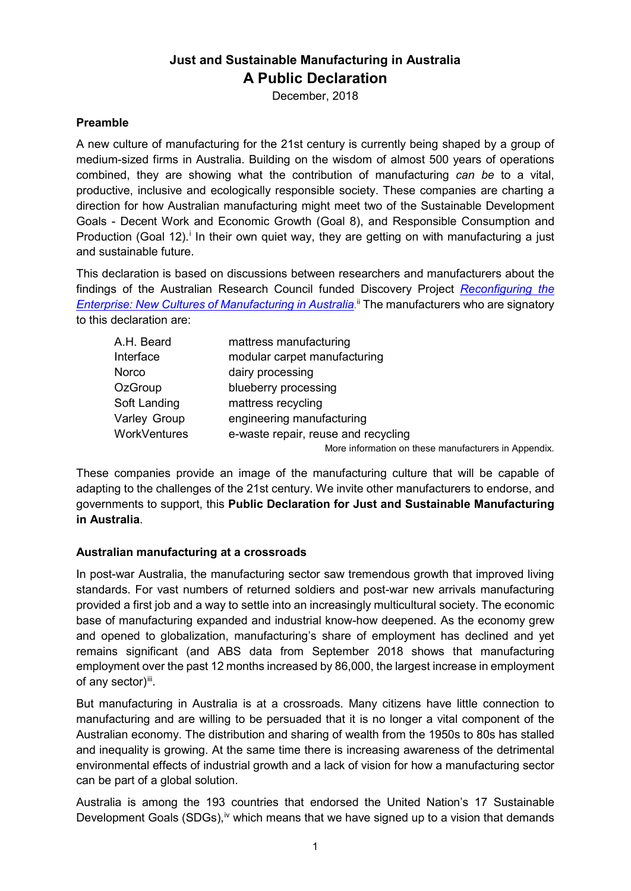# **Just and Sustainable Manufacturing in Australia A Public Declaration**

December, 2018

### **Preamble**

A new culture of manufacturing for the 21st century is currently being shaped by a group of medium-sized firms in Australia. Building on the wisdom of almost 500 years of operations combined, they are showing what the contribution of manufacturing *can be* to a vital, productive, inclusive and ecologically responsible society. These companies are charting a direction for how Australian manufacturing might meet two of the Sustainable Development Goals - Decent Work and Economic Growth (Goal 8), and Responsible Consumption and Product[i](#page-4-0)on (Goal 12).<sup>i</sup> In their own quiet way, they are getting on with manufacturing a just and sustainable future.

This declaration is based on discussions between researchers and manufacturers about the findings of the Australian Research Council funded Discovery Project *[Reconfiguring the](https://www.westernsydney.edu.au/ics/research/projects/reconfiguring_the_enterprise_shifting_manufacturing_culture_in_australia)  [Enterprise: New Cultures of Manufacturing in Australia](https://www.westernsydney.edu.au/ics/research/projects/reconfiguring_the_enterprise_shifting_manufacturing_culture_in_australia)*. [ii](#page-4-1) The manufacturers who are signatory to this declaration are:

| A.H. Beard   | mattress manufacturing                               |
|--------------|------------------------------------------------------|
| Interface    | modular carpet manufacturing                         |
| Norco        | dairy processing                                     |
| OzGroup      | blueberry processing                                 |
| Soft Landing | mattress recycling                                   |
| Varley Group | engineering manufacturing                            |
| WorkVentures | e-waste repair, reuse and recycling                  |
|              | More information on these manufacturers in Appendix. |

These companies provide an image of the manufacturing culture that will be capable of adapting to the challenges of the 21st century. We invite other manufacturers to endorse, and governments to support, this **Public Declaration for Just and Sustainable Manufacturing in Australia**.

#### **Australian manufacturing at a crossroads**

In post-war Australia, the manufacturing sector saw tremendous growth that improved living standards. For vast numbers of returned soldiers and post-war new arrivals manufacturing provided a first job and a way to settle into an increasingly multicultural society. The economic base of manufacturing expanded and industrial know-how deepened. As the economy grew and opened to globalization, manufacturing's share of employment has declined and yet remains significant (and ABS data from September 2018 shows that manufacturing employment over the past 12 months increased by 86,000, the largest increase in employment of any sector)[iii.](#page-4-2)

But manufacturing in Australia is at a crossroads. Many citizens have little connection to manufacturing and are willing to be persuaded that it is no longer a vital component of the Australian economy. The distribution and sharing of wealth from the 1950s to 80s has stalled and inequality is growing. At the same time there is increasing awareness of the detrimental environmental effects of industrial growth and a lack of vision for how a manufacturing sector can be part of a global solution.

Australia is among the 193 countries that endorsed the United Nation's 17 Sustainable Development Goals  $(SDGs)$ ,<sup>[iv](#page-4-3)</sup> which means that we have signed up to a vision that demands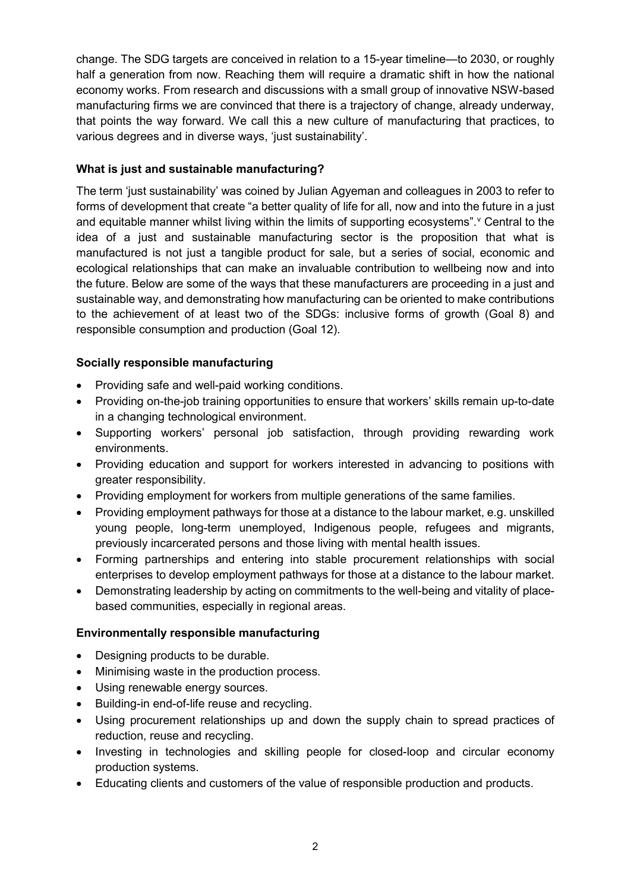change. The SDG targets are conceived in relation to a 15-year timeline—to 2030, or roughly half a generation from now. Reaching them will require a dramatic shift in how the national economy works. From research and discussions with a small group of innovative NSW-based manufacturing firms we are convinced that there is a trajectory of change, already underway, that points the way forward. We call this a new culture of manufacturing that practices, to various degrees and in diverse ways, 'just sustainability'.

## **What is just and sustainable manufacturing?**

The term 'just sustainability' was coined by Julian Agyeman and colleagues in 2003 to refer to forms of development that create "a better quality of life for all, now and into the future in a just and equitable manner whilst li[v](#page-4-4)ing within the limits of supporting ecosystems". <sup>v</sup> Central to the idea of a just and sustainable manufacturing sector is the proposition that what is manufactured is not just a tangible product for sale, but a series of social, economic and ecological relationships that can make an invaluable contribution to wellbeing now and into the future. Below are some of the ways that these manufacturers are proceeding in a just and sustainable way, and demonstrating how manufacturing can be oriented to make contributions to the achievement of at least two of the SDGs: inclusive forms of growth (Goal 8) and responsible consumption and production (Goal 12).

## **Socially responsible manufacturing**

- Providing safe and well-paid working conditions.
- Providing on-the-job training opportunities to ensure that workers' skills remain up-to-date in a changing technological environment.
- Supporting workers' personal job satisfaction, through providing rewarding work environments.
- Providing education and support for workers interested in advancing to positions with greater responsibility.
- Providing employment for workers from multiple generations of the same families.
- Providing employment pathways for those at a distance to the labour market, e.g. unskilled young people, long-term unemployed, Indigenous people, refugees and migrants, previously incarcerated persons and those living with mental health issues.
- Forming partnerships and entering into stable procurement relationships with social enterprises to develop employment pathways for those at a distance to the labour market.
- Demonstrating leadership by acting on commitments to the well-being and vitality of placebased communities, especially in regional areas.

## **Environmentally responsible manufacturing**

- Designing products to be durable.
- Minimising waste in the production process.
- Using renewable energy sources.
- Building-in end-of-life reuse and recycling.
- Using procurement relationships up and down the supply chain to spread practices of reduction, reuse and recycling.
- Investing in technologies and skilling people for closed-loop and circular economy production systems.
- Educating clients and customers of the value of responsible production and products.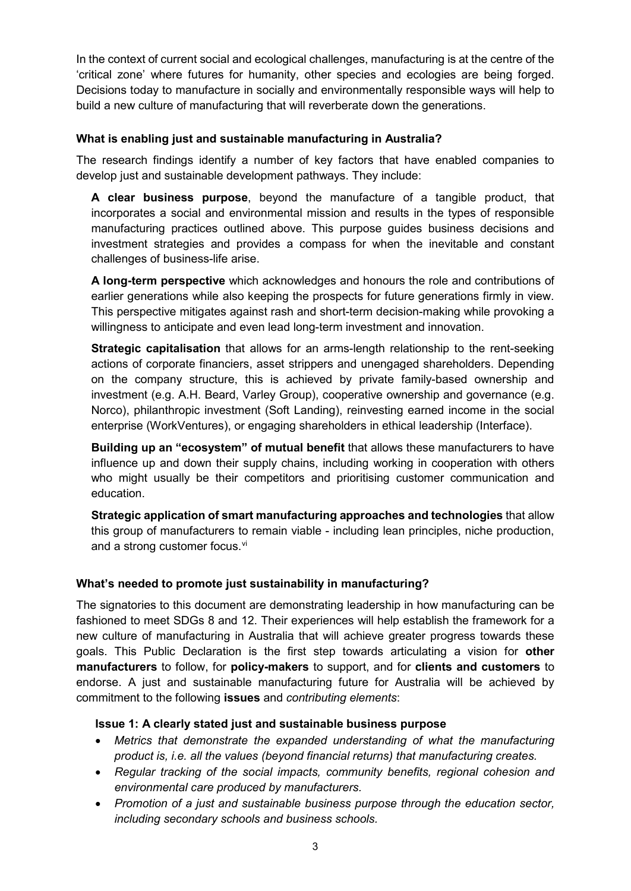In the context of current social and ecological challenges, manufacturing is at the centre of the 'critical zone' where futures for humanity, other species and ecologies are being forged. Decisions today to manufacture in socially and environmentally responsible ways will help to build a new culture of manufacturing that will reverberate down the generations.

#### **What is enabling just and sustainable manufacturing in Australia?**

The research findings identify a number of key factors that have enabled companies to develop just and sustainable development pathways. They include:

**A clear business purpose**, beyond the manufacture of a tangible product, that incorporates a social and environmental mission and results in the types of responsible manufacturing practices outlined above. This purpose guides business decisions and investment strategies and provides a compass for when the inevitable and constant challenges of business-life arise.

**A long-term perspective** which acknowledges and honours the role and contributions of earlier generations while also keeping the prospects for future generations firmly in view. This perspective mitigates against rash and short-term decision-making while provoking a willingness to anticipate and even lead long-term investment and innovation.

**Strategic capitalisation** that allows for an arms-length relationship to the rent-seeking actions of corporate financiers, asset strippers and unengaged shareholders. Depending on the company structure, this is achieved by private family-based ownership and investment (e.g. A.H. Beard, Varley Group), cooperative ownership and governance (e.g. Norco), philanthropic investment (Soft Landing), reinvesting earned income in the social enterprise (WorkVentures), or engaging shareholders in ethical leadership (Interface).

**Building up an "ecosystem" of mutual benefit** that allows these manufacturers to have influence up and down their supply chains, including working in cooperation with others who might usually be their competitors and prioritising customer communication and education.

**Strategic application of smart manufacturing approaches and technologies** that allow this group of manufacturers to remain viable - including lean principles, niche production, and a strong customer focus.<sup>[vi](#page-4-5)</sup>

## **What's needed to promote just sustainability in manufacturing?**

The signatories to this document are demonstrating leadership in how manufacturing can be fashioned to meet SDGs 8 and 12. Their experiences will help establish the framework for a new culture of manufacturing in Australia that will achieve greater progress towards these goals. This Public Declaration is the first step towards articulating a vision for **other manufacturers** to follow, for **policy-makers** to support, and for **clients and customers** to endorse. A just and sustainable manufacturing future for Australia will be achieved by commitment to the following **issues** and *contributing elements*:

#### **Issue 1: A clearly stated just and sustainable business purpose**

- *Metrics that demonstrate the expanded understanding of what the manufacturing product is, i.e. all the values (beyond financial returns) that manufacturing creates.*
- *Regular tracking of the social impacts, community benefits, regional cohesion and environmental care produced by manufacturers.*
- *Promotion of a just and sustainable business purpose through the education sector, including secondary schools and business schools.*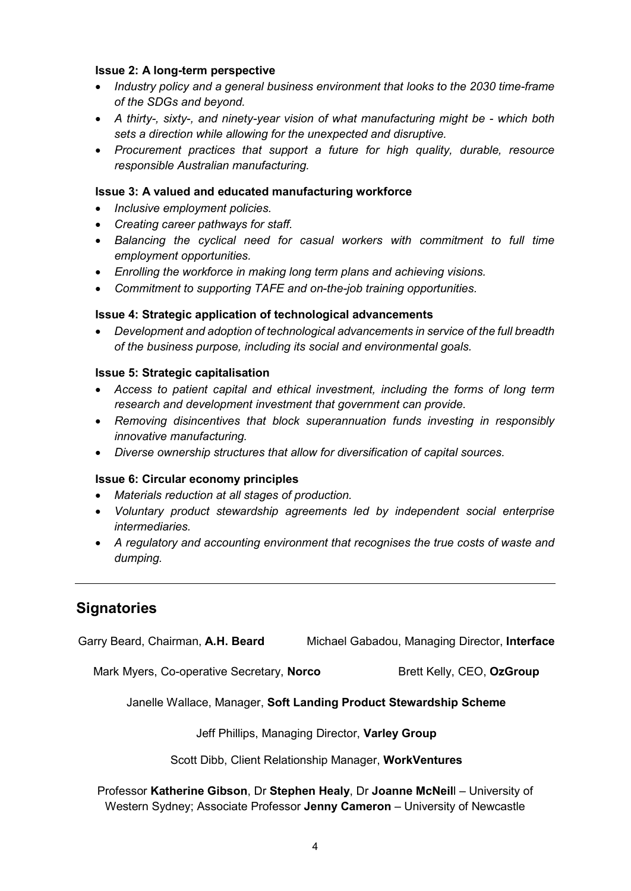#### **Issue 2: A long-term perspective**

- *Industry policy and a general business environment that looks to the 2030 time-frame of the SDGs and beyond.*
- *A thirty-, sixty-, and ninety-year vision of what manufacturing might be - which both sets a direction while allowing for the unexpected and disruptive.*
- *Procurement practices that support a future for high quality, durable, resource responsible Australian manufacturing.*

### **Issue 3: A valued and educated manufacturing workforce**

- *Inclusive employment policies.*
- *Creating career pathways for staff.*
- *Balancing the cyclical need for casual workers with commitment to full time employment opportunities.*
- *Enrolling the workforce in making long term plans and achieving visions.*
- *Commitment to supporting TAFE and on-the-job training opportunities.*

#### **Issue 4: Strategic application of technological advancements**

• *Development and adoption of technological advancements in service of the full breadth of the business purpose, including its social and environmental goals.* 

#### **Issue 5: Strategic capitalisation**

- *Access to patient capital and ethical investment, including the forms of long term research and development investment that government can provide.*
- *Removing disincentives that block superannuation funds investing in responsibly innovative manufacturing.*
- *Diverse ownership structures that allow for diversification of capital sources.*

#### **Issue 6: Circular economy principles**

- *Materials reduction at all stages of production.*
- *Voluntary product stewardship agreements led by independent social enterprise intermediaries.*
- *A regulatory and accounting environment that recognises the true costs of waste and dumping.*

# **Signatories**

Garry Beard, Chairman, **A.H. Beard** Michael Gabadou, Managing Director, **Interface**

Mark Myers, Co-operative Secretary, **Norco** Brett Kelly, CEO, OzGroup

Janelle Wallace, Manager, **Soft Landing Product Stewardship Scheme**

Jeff Phillips, Managing Director, **Varley Group**

Scott Dibb, Client Relationship Manager, **WorkVentures**

Professor **Katherine Gibson**, Dr **Stephen Healy**, Dr **Joanne McNeil**l – University of Western Sydney; Associate Professor **Jenny Cameron** – University of Newcastle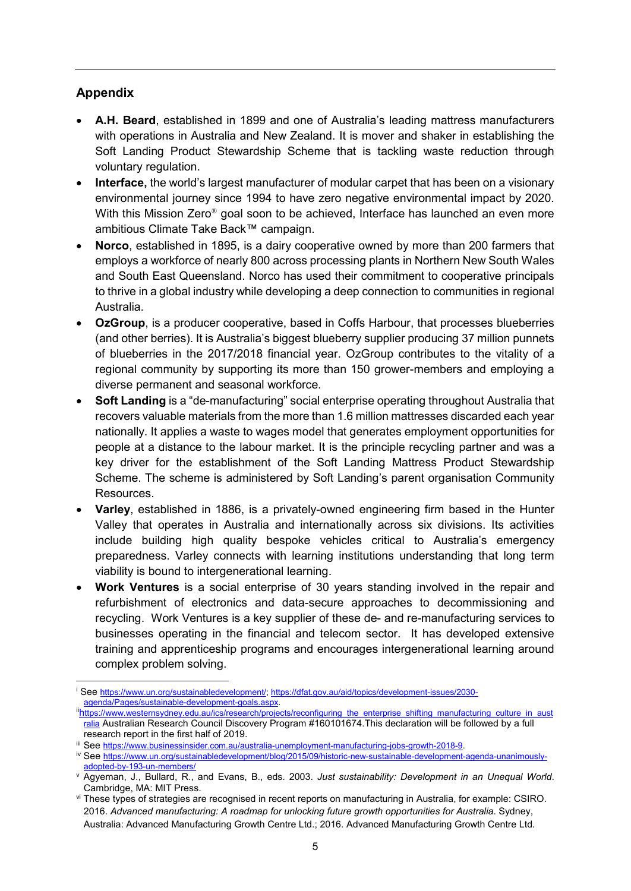## **Appendix**

-

- **A.H. Beard**, established in 1899 and one of Australia's leading mattress manufacturers with operations in Australia and New Zealand. It is mover and shaker in establishing the Soft Landing Product Stewardship Scheme that is tackling waste reduction through voluntary regulation.
- **Interface,** the world's largest manufacturer of modular carpet that has been on a visionary environmental journey since 1994 to have zero negative environmental impact by 2020. With this Mission Zero<sup>®</sup> goal soon to be achieved, Interface has launched an even more ambitious Climate Take Back™ campaign.
- **Norco**, established in 1895, is a dairy cooperative owned by more than 200 farmers that employs a workforce of nearly 800 across processing plants in Northern New South Wales and South East Queensland. Norco has used their commitment to cooperative principals to thrive in a global industry while developing a deep connection to communities in regional Australia.
- **OzGroup**, is a producer cooperative, based in Coffs Harbour, that processes blueberries (and other berries). It is Australia's biggest blueberry supplier producing 37 million punnets of blueberries in the 2017/2018 financial year. OzGroup contributes to the vitality of a regional community by supporting its more than 150 grower-members and employing a diverse permanent and seasonal workforce.
- **Soft Landing** is a "de-manufacturing" social enterprise operating throughout Australia that recovers valuable materials from the more than 1.6 million mattresses discarded each year nationally. It applies a waste to wages model that generates employment opportunities for people at a distance to the labour market. It is the principle recycling partner and was a key driver for the establishment of the Soft Landing Mattress Product Stewardship Scheme. The scheme is administered by Soft Landing's parent organisation Community Resources.
- **Varley**, established in 1886, is a privately-owned engineering firm based in the Hunter Valley that operates in Australia and internationally across six divisions. Its activities include building high quality bespoke vehicles critical to Australia's emergency preparedness. Varley connects with learning institutions understanding that long term viability is bound to intergenerational learning.
- **Work Ventures** is a social enterprise of 30 years standing involved in the repair and refurbishment of electronics and data-secure approaches to decommissioning and recycling. Work Ventures is a key supplier of these de- and re-manufacturing services to businesses operating in the financial and telecom sector. It has developed extensive training and apprenticeship programs and encourages intergenerational learning around complex problem solving.

<span id="page-4-0"></span><sup>&</sup>lt;sup>i</sup> See [https://www.un.org/sustainabledevelopment/;](https://www.un.org/sustainabledevelopment/) [https://dfat.gov.au/aid/topics/development-issues/2030-](https://dfat.gov.au/aid/topics/development-issues/2030-agenda/Pages/sustainable-development-goals.aspx)<br>agenda/Pages/sustainable-development-goals.aspx.

<span id="page-4-1"></span>iihttps://www.westernsydney.edu.au/ics/research/projects/reconfiguring\_the\_enterprise\_shifting\_manufacturing\_culture\_in\_aust [ralia](https://www.westernsydney.edu.au/ics/research/projects/reconfiguring_the_enterprise_shifting_manufacturing_culture_in_australia) Australian Research Council Discovery Program #160101674.This declaration will be followed by a full research report in the first half of 2019.

<span id="page-4-2"></span>iii See [https://www.businessinsider.com.au/australia-unemployment-manufacturing-jobs-growth-2018-9.](https://www.businessinsider.com.au/australia-unemployment-manufacturing-jobs-growth-2018-9)

<span id="page-4-3"></span>iv Se[e https://www.un.org/sustainabledevelopment/blog/2015/09/historic-new-sustainable-development-agenda-unanimously](https://www.un.org/sustainabledevelopment/blog/2015/09/historic-new-sustainable-development-agenda-unanimously-adopted-by-193-un-members/)[adopted-by-193-un-members/](https://www.un.org/sustainabledevelopment/blog/2015/09/historic-new-sustainable-development-agenda-unanimously-adopted-by-193-un-members/)

<span id="page-4-4"></span><sup>v</sup> Agyeman, J., Bullard, R., and Evans, B., eds. 2003. *Just sustainability: Development in an Unequal World*. Cambridge, MA: MIT Press.

<span id="page-4-5"></span>vi These types of strategies are recognised in recent reports on manufacturing in Australia, for example: CSIRO. 2016. *Advanced manufacturing: A roadmap for unlocking future growth opportunities for Australia*. Sydney, Australia: Advanced Manufacturing Growth Centre Ltd.; 2016. Advanced Manufacturing Growth Centre Ltd*.*